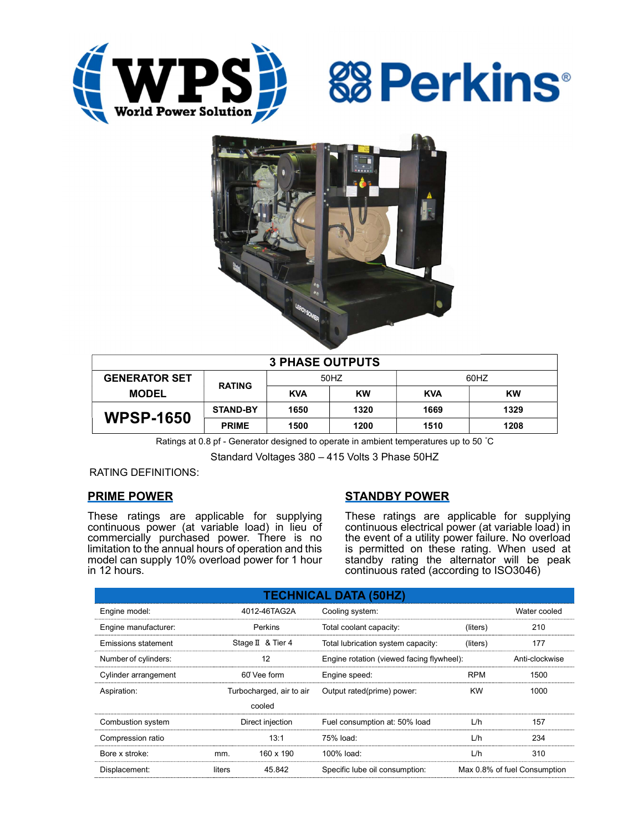





| <b>3 PHASE OUTPUTS</b> |                 |            |           |            |      |  |
|------------------------|-----------------|------------|-----------|------------|------|--|
| <b>GENERATOR SET</b>   | <b>RATING</b>   | 50HZ       |           | 60HZ       |      |  |
| <b>MODEL</b>           |                 | <b>KVA</b> | <b>KW</b> | <b>KVA</b> | KW   |  |
| <b>WPSP-1650</b>       | <b>STAND-BY</b> | 1650       | 1320      | 1669       | 1329 |  |
|                        | <b>PRIME</b>    | 1500       | 1200      | 1510       | 1208 |  |

Ratings at 0.8 pf - Generator designed to operate in ambient temperatures up to 50 °C

Standard Voltages 380 – 415 Volts 3 Phase 50HZ

RATING DEFINITIONS:

# PRIME POWER

These ratings are applicable for supplying continuous power (at variable load) in lieu of commercially purchased power. There is no limitation to the annual hours of operation and this model can supply 10% overload power for 1 hour in 12 hours.

# STANDBY POWER

These ratings are applicable for supplying continuous electrical power (at variable load) in the event of a utility power failure. No overload is permitted on these rating. When used at standby rating the alternator will be peak continuous rated (according to ISO3046)

| <b>TECHNICAL DATA (50HZ)</b> |                  |                          |                                           |            |                              |  |
|------------------------------|------------------|--------------------------|-------------------------------------------|------------|------------------------------|--|
| Engine model:                |                  | 4012-46TAG2A             | Cooling system:                           |            | Water cooled                 |  |
| Engine manufacturer:         |                  | Perkins                  | Total coolant capacity:                   | (liters)   | 210                          |  |
| Emissions statement          |                  | Stage II & Tier 4        | Total lubrication system capacity:        | (liters)   | 177                          |  |
| Number of cylinders:         | 12               |                          | Engine rotation (viewed facing flywheel): |            | Anti-clockwise               |  |
| Cylinder arrangement         |                  | 60° Vee form             | Engine speed:                             | <b>RPM</b> | 1500                         |  |
| Aspiration:                  |                  | Turbocharged, air to air | Output rated(prime) power:                | <b>KW</b>  | 1000                         |  |
|                              |                  | cooled                   |                                           |            |                              |  |
| Combustion system            | Direct injection |                          | Fuel consumption at: 50% load             | L/h        | 157                          |  |
| Compression ratio            |                  | 13:1                     | 75% load:                                 | L/h        | 234                          |  |
| Bore x stroke:               | mm.              | 160 x 190                | 100% load:                                | L/h        | 310                          |  |
| Displacement:                | liters           | 45.842                   | Specific lube oil consumption:            |            | Max 0.8% of fuel Consumption |  |